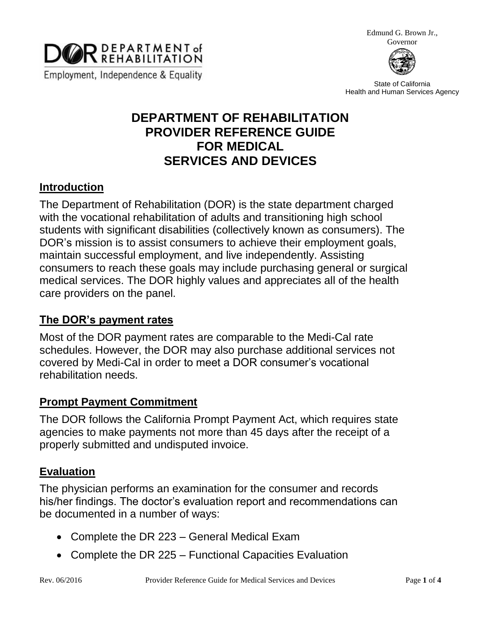

Edmund G. Brown Jr., Governor



State of California Health and Human Services Agency

# **DEPARTMENT OF REHABILITATION PROVIDER REFERENCE GUIDE FOR MEDICAL SERVICES AND DEVICES**

#### **Introduction**

The Department of Rehabilitation (DOR) is the state department charged with the vocational rehabilitation of adults and transitioning high school students with significant disabilities (collectively known as consumers). The DOR's mission is to assist consumers to achieve their employment goals, maintain successful employment, and live independently. Assisting consumers to reach these goals may include purchasing general or surgical medical services. The DOR highly values and appreciates all of the health care providers on the panel.

#### **The DOR's payment rates**

Most of the DOR payment rates are comparable to the Medi-Cal rate schedules. However, the DOR may also purchase additional services not covered by Medi-Cal in order to meet a DOR consumer's vocational rehabilitation needs.

#### **Prompt Payment Commitment**

The DOR follows the California Prompt Payment Act, which requires state agencies to make payments not more than 45 days after the receipt of a properly submitted and undisputed invoice.

#### **Evaluation**

The physician performs an examination for the consumer and records his/her findings. The doctor's evaluation report and recommendations can be documented in a number of ways:

- Complete the DR 223 General Medical Exam
- Complete the DR 225 Functional Capacities Evaluation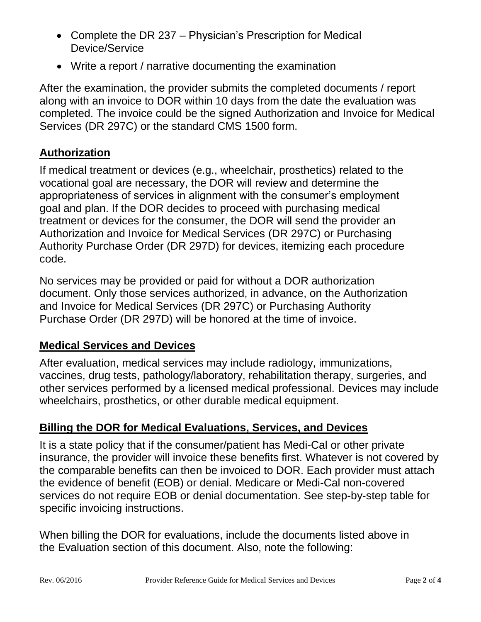- Complete the DR 237 Physician's Prescription for Medical Device/Service
- Write a report / narrative documenting the examination

After the examination, the provider submits the completed documents / report along with an invoice to DOR within 10 days from the date the evaluation was completed. The invoice could be the signed Authorization and Invoice for Medical Services (DR 297C) or the standard CMS 1500 form.

## **Authorization**

If medical treatment or devices (e.g., wheelchair, prosthetics) related to the vocational goal are necessary, the DOR will review and determine the appropriateness of services in alignment with the consumer's employment goal and plan. If the DOR decides to proceed with purchasing medical treatment or devices for the consumer, the DOR will send the provider an Authorization and Invoice for Medical Services (DR 297C) or Purchasing Authority Purchase Order (DR 297D) for devices, itemizing each procedure code.

No services may be provided or paid for without a DOR authorization document. Only those services authorized, in advance, on the Authorization and Invoice for Medical Services (DR 297C) or Purchasing Authority Purchase Order (DR 297D) will be honored at the time of invoice.

## **Medical Services and Devices**

After evaluation, medical services may include radiology, immunizations, vaccines, drug tests, pathology/laboratory, rehabilitation therapy, surgeries, and other services performed by a licensed medical professional. Devices may include wheelchairs, prosthetics, or other durable medical equipment.

## **Billing the DOR for Medical Evaluations, Services, and Devices**

It is a state policy that if the consumer/patient has Medi-Cal or other private insurance, the provider will invoice these benefits first. Whatever is not covered by the comparable benefits can then be invoiced to DOR. Each provider must attach the evidence of benefit (EOB) or denial. Medicare or Medi-Cal non-covered services do not require EOB or denial documentation. See step-by-step table for specific invoicing instructions.

When billing the DOR for evaluations, include the documents listed above in the Evaluation section of this document. Also, note the following: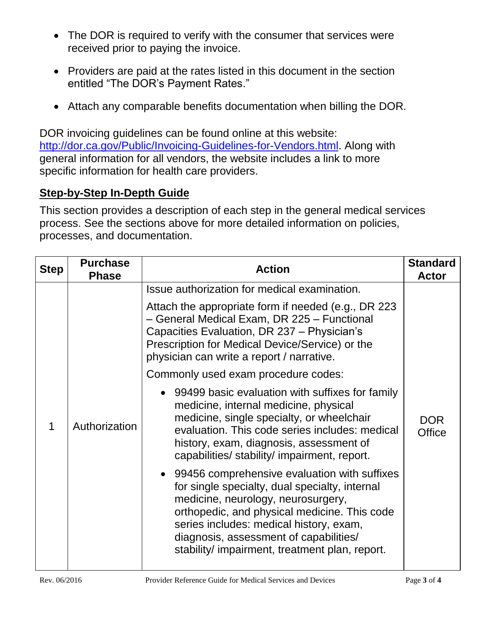- The DOR is required to verify with the consumer that services were received prior to paying the invoice.
- Providers are paid at the rates listed in this document in the section entitled "The DOR's Payment Rates."
- Attach any comparable benefits documentation when billing the DOR.

DOR invoicing guidelines can be found online at this website: [http://dor.ca.gov/Public/Invoicing-Guidelines-for-Vendors.html.](http://dor.ca.gov/Public/Invoicing-Guidelines-for-Vendors.html) Along with general information for all vendors, the website includes a link to more specific information for health care providers.

## **Step-by-Step In-Depth Guide**

This section provides a description of each step in the general medical services process. See the sections above for more detailed information on policies, processes, and documentation.

| <b>Step</b> | <b>Purchase</b><br><b>Phase</b> | <b>Action</b>                                                                                                                                                                                                                                                                                                               | <b>Standard</b><br><b>Actor</b> |
|-------------|---------------------------------|-----------------------------------------------------------------------------------------------------------------------------------------------------------------------------------------------------------------------------------------------------------------------------------------------------------------------------|---------------------------------|
| 1           | Authorization                   | Issue authorization for medical examination.                                                                                                                                                                                                                                                                                | <b>DOR</b><br><b>Office</b>     |
|             |                                 | Attach the appropriate form if needed (e.g., DR 223<br>- General Medical Exam, DR 225 - Functional<br>Capacities Evaluation, DR 237 - Physician's<br>Prescription for Medical Device/Service) or the<br>physician can write a report / narrative.                                                                           |                                 |
|             |                                 | Commonly used exam procedure codes:                                                                                                                                                                                                                                                                                         |                                 |
|             |                                 | • 99499 basic evaluation with suffixes for family<br>medicine, internal medicine, physical<br>medicine, single specialty, or wheelchair<br>evaluation. This code series includes: medical<br>history, exam, diagnosis, assessment of<br>capabilities/ stability/ impairment, report.                                        |                                 |
|             |                                 | 99456 comprehensive evaluation with suffixes<br>for single specialty, dual specialty, internal<br>medicine, neurology, neurosurgery,<br>orthopedic, and physical medicine. This code<br>series includes: medical history, exam,<br>diagnosis, assessment of capabilities/<br>stability/ impairment, treatment plan, report. |                                 |